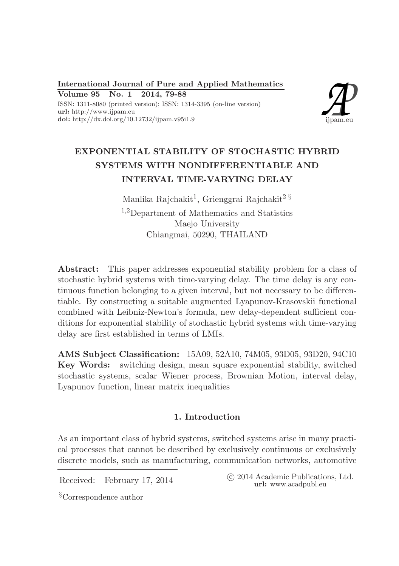International Journal of Pure and Applied Mathematics Volume 95 No. 1 2014, 79-88 ISSN: 1311-8080 (printed version); ISSN: 1314-3395 (on-line version) url: http://www.ijpam.eu doi: http://dx.doi.org/10.12732/ijpam.v95i1.9



# EXPONENTIAL STABILITY OF STOCHASTIC HYBRID SYSTEMS WITH NONDIFFERENTIABLE AND INTERVAL TIME-VARYING DELAY

Manlika Rajchakit $^1$ , Grienggrai Rajchakit $^2$   $^8$ <sup>1</sup>,2Department of Mathematics and Statistics Maejo University Chiangmai, 50290, THAILAND

Abstract: This paper addresses exponential stability problem for a class of stochastic hybrid systems with time-varying delay. The time delay is any continuous function belonging to a given interval, but not necessary to be differentiable. By constructing a suitable augmented Lyapunov-Krasovskii functional combined with Leibniz-Newton's formula, new delay-dependent sufficient conditions for exponential stability of stochastic hybrid systems with time-varying delay are first established in terms of LMIs.

AMS Subject Classification: 15A09, 52A10, 74M05, 93D05, 93D20, 94C10 Key Words: switching design, mean square exponential stability, switched stochastic systems, scalar Wiener process, Brownian Motion, interval delay, Lyapunov function, linear matrix inequalities

# 1. Introduction

As an important class of hybrid systems, switched systems arise in many practical processes that cannot be described by exclusively continuous or exclusively discrete models, such as manufacturing, communication networks, automotive

Received: February 17, 2014 C 2014 Academic Publications, Ltd. url: www.acadpubl.eu

§Correspondence author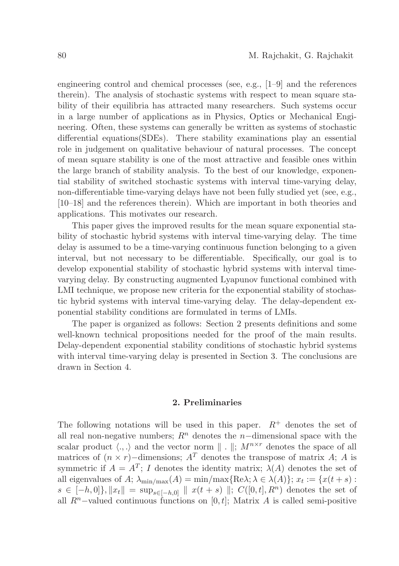engineering control and chemical processes (see, e.g., [1–9] and the references therein). The analysis of stochastic systems with respect to mean square stability of their equilibria has attracted many researchers. Such systems occur in a large number of applications as in Physics, Optics or Mechanical Engineering. Often, these systems can generally be written as systems of stochastic differential equations(SDEs). There stability examinations play an essential role in judgement on qualitative behaviour of natural processes. The concept of mean square stability is one of the most attractive and feasible ones within the large branch of stability analysis. To the best of our knowledge, exponential stability of switched stochastic systems with interval time-varying delay, non-differentiable time-varying delays have not been fully studied yet (see, e.g., [10–18] and the references therein). Which are important in both theories and applications. This motivates our research.

This paper gives the improved results for the mean square exponential stability of stochastic hybrid systems with interval time-varying delay. The time delay is assumed to be a time-varying continuous function belonging to a given interval, but not necessary to be differentiable. Specifically, our goal is to develop exponential stability of stochastic hybrid systems with interval timevarying delay. By constructing augmented Lyapunov functional combined with LMI technique, we propose new criteria for the exponential stability of stochastic hybrid systems with interval time-varying delay. The delay-dependent exponential stability conditions are formulated in terms of LMIs.

The paper is organized as follows: Section 2 presents definitions and some well-known technical propositions needed for the proof of the main results. Delay-dependent exponential stability conditions of stochastic hybrid systems with interval time-varying delay is presented in Section 3. The conclusions are drawn in Section 4.

## 2. Preliminaries

The following notations will be used in this paper.  $R^+$  denotes the set of all real non-negative numbers;  $R<sup>n</sup>$  denotes the n-dimensional space with the scalar product  $\langle ... \rangle$  and the vector norm  $\| \cdot \|$ ;  $M^{n \times r}$  denotes the space of all matrices of  $(n \times r)$ −dimensions;  $A<sup>T</sup>$  denotes the transpose of matrix A; A is symmetric if  $A = A^T$ ; I denotes the identity matrix;  $\lambda(A)$  denotes the set of all eigenvalues of A;  $\lambda_{\min/\max}(A) = \min/\max\{\text{Re}\lambda; \lambda \in \lambda(A)\}; x_t := \{x(t+s):$  $s \in [-h,0], ||x_t|| = \sup_{s \in [-h,0]} ||x(t+s)||; C([0,t], R^n)$  denotes the set of all  $R<sup>n</sup>$ -valued continuous functions on [0, t]; Matrix A is called semi-positive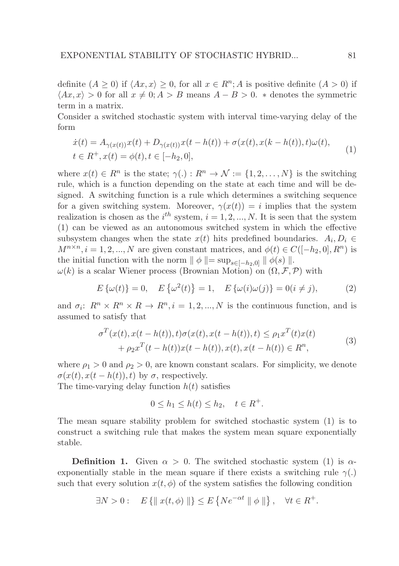definite  $(A \geq 0)$  if  $\langle Ax, x \rangle \geq 0$ , for all  $x \in \mathbb{R}^n$ ; A is positive definite  $(A > 0)$  if  $\langle Ax, x \rangle > 0$  for all  $x \neq 0$ ;  $A > B$  means  $A - B > 0$ . \* denotes the symmetric term in a matrix.

Consider a switched stochastic system with interval time-varying delay of the form

$$
\begin{aligned} \dot{x}(t) &= A_{\gamma(x(t))}x(t) + D_{\gamma(x(t))}x(t - h(t)) + \sigma(x(t), x(k - h(t)), t)\omega(t), \\ t &\in R^+, x(t) = \phi(t), t \in [-h_2, 0], \end{aligned} \tag{1}
$$

where  $x(t) \in R^n$  is the state;  $\gamma(.) : R^n \to \mathcal{N} := \{1, 2, ..., N\}$  is the switching rule, which is a function depending on the state at each time and will be designed. A switching function is a rule which determines a switching sequence for a given switching system. Moreover,  $\gamma(x(t)) = i$  implies that the system realization is chosen as the  $i^{th}$  system,  $i = 1, 2, ..., N$ . It is seen that the system (1) can be viewed as an autonomous switched system in which the effective subsystem changes when the state  $x(t)$  hits predefined boundaries.  $A_i, D_i \in$  $M^{n \times n}, i = 1, 2, ..., N$  are given constant matrices, and  $\phi(t) \in C([-h_2, 0], R^n)$  is the initial function with the norm  $\|\phi\|=\sup_{s\in[-h_2,0]}\|\phi(s)\|$ .

 $\omega(k)$  is a scalar Wiener process (Brownian Motion) on  $(\Omega, \mathcal{F}, \mathcal{P})$  with

$$
E\{\omega(t)\} = 0, \quad E\{\omega^2(t)\} = 1, \quad E\{\omega(i)\omega(j)\} = 0(i \neq j), \tag{2}
$$

and  $\sigma_i: R^n \times R^n \times R \to R^n, i = 1, 2, ..., N$  is the continuous function, and is assumed to satisfy that

$$
\sigma^T(x(t), x(t - h(t)), t)\sigma(x(t), x(t - h(t)), t) \le \rho_1 x^T(t)x(t) + \rho_2 x^T(t - h(t))x(t - h(t)), x(t), x(t - h(t)) \in R^n,
$$
\n(3)

where  $\rho_1 > 0$  and  $\rho_2 > 0$ , are known constant scalars. For simplicity, we denote  $\sigma(x(t), x(t-h(t)), t)$  by  $\sigma$ , respectively.

The time-varying delay function  $h(t)$  satisfies

$$
0 \le h_1 \le h(t) \le h_2, \quad t \in R^+.
$$

The mean square stability problem for switched stochastic system (1) is to construct a switching rule that makes the system mean square exponentially stable.

**Definition 1.** Given  $\alpha > 0$ . The switched stochastic system (1) is  $\alpha$ exponentially stable in the mean square if there exists a switching rule  $\gamma(.)$ such that every solution  $x(t, \phi)$  of the system satisfies the following condition

$$
\exists N > 0: \quad E\left\{ \parallel x(t,\phi) \parallel \right\} \le E\left\{ N e^{-\alpha t} \parallel \phi \parallel \right\}, \quad \forall t \in R^+.
$$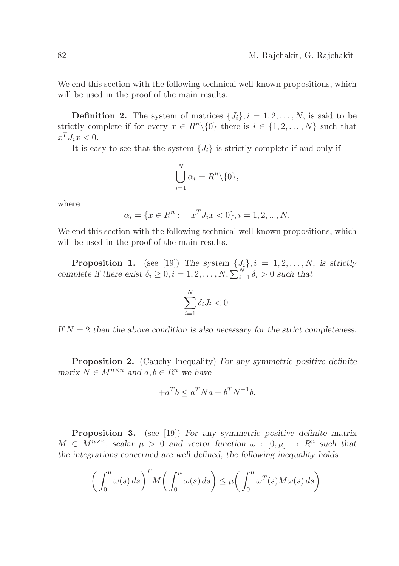We end this section with the following technical well-known propositions, which will be used in the proof of the main results.

**Definition 2.** The system of matrices  $\{J_i\}$ ,  $i = 1, 2, ..., N$ , is said to be strictly complete if for every  $x \in R^n \setminus \{0\}$  there is  $i \in \{1, 2, ..., N\}$  such that  $x^T J_i x < 0.$ 

It is easy to see that the system  $\{J_i\}$  is strictly complete if and only if

$$
\bigcup_{i=1}^{N} \alpha_i = R^n \backslash \{0\},\
$$

where

$$
\alpha_i = \{ x \in R^n : \quad x^T J_i x < 0 \}, i = 1, 2, \dots, N.
$$

We end this section with the following technical well-known propositions, which will be used in the proof of the main results.

**Proposition 1.** (see [19]) The system  $\{J_i\}$ ,  $i = 1, 2, ..., N$ , is strictly *complete if there exist*  $\delta_i \geq 0, i = 1, 2, ..., N, \sum_{i=1}^{N} \delta_i > 0$  *such that* 

$$
\sum_{i=1}^{N} \delta_i J_i < 0.
$$

*If*  $N = 2$  *then the above condition is also necessary for the strict completeness.* 

Proposition 2. (Cauchy Inequality) *For any symmetric positive definite marix*  $N \in M^{n \times n}$  *and*  $a, b \in R^n$  *we have* 

$$
\pm a^T b \le a^T N a + b^T N^{-1} b.
$$

Proposition 3. (see [19]) *For any symmetric positive definite matrix*  $M \in M^{n \times n}$ , scalar  $\mu > 0$  and vector function  $\omega : [0, \mu] \to R^n$  such that *the integrations concerned are well defined, the following inequality holds*

$$
\left(\int_0^{\mu} \omega(s) \, ds\right)^T M \left(\int_0^{\mu} \omega(s) \, ds\right) \leq \mu \left(\int_0^{\mu} \omega^T(s) M \omega(s) \, ds\right).
$$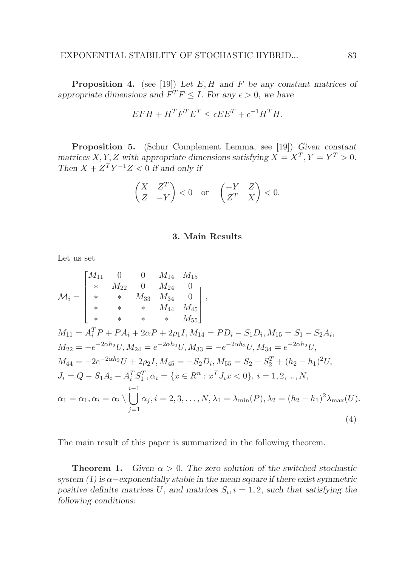Proposition 4. (see [19]) *Let* E, H *and* F *be any constant matrices of* appropriate dimensions and  $F^T F \leq I$ . For any  $\epsilon > 0$ , we have

$$
EFH + H^T F^T E^T \le \epsilon E E^T + \epsilon^{-1} H^T H.
$$

Proposition 5. (Schur Complement Lemma, see [19]) *Given constant matrices*  $X, Y, Z$  with appropriate dimensions satisfying  $X = X^T, Y = Y^T > 0$ . *Then*  $X + Z^T Y^{-1} Z < 0$  *if and only if* 

$$
\begin{pmatrix} X & Z^T \\ Z & -Y \end{pmatrix} < 0 \quad \text{or} \quad \begin{pmatrix} -Y & Z \\ Z^T & X \end{pmatrix} < 0.
$$

#### 3. Main Results

Let us set

$$
\mathcal{M}_{i} = \begin{bmatrix}\nM_{11} & 0 & 0 & M_{14} & M_{15} \\
* & M_{22} & 0 & M_{24} & 0 \\
* & * & M_{33} & M_{34} & 0 \\
* & * & * & M_{44} & M_{45} \\
* & * & * & M_{55}\n\end{bmatrix},
$$
\n
$$
M_{11} = A_{i}^{T}P + PA_{i} + 2\alpha P + 2\rho_{1}I, M_{14} = PD_{i} - S_{1}D_{i}, M_{15} = S_{1} - S_{2}A_{i},
$$
\n
$$
M_{22} = -e^{-2\alpha h_{2}}U, M_{24} = e^{-2\alpha h_{2}}U, M_{33} = -e^{-2\alpha h_{2}}U, M_{34} = e^{-2\alpha h_{2}}U,
$$
\n
$$
M_{44} = -2e^{-2\alpha h_{2}}U + 2\rho_{2}I, M_{45} = -S_{2}D_{i}, M_{55} = S_{2} + S_{2}^{T} + (h_{2} - h_{1})^{2}U,
$$
\n
$$
J_{i} = Q - S_{1}A_{i} - A_{i}^{T}S_{1}^{T}, \alpha_{i} = \{x \in R^{n} : x^{T}J_{i}x < 0\}, i = 1, 2, ..., N,
$$
\n
$$
\bar{\alpha}_{1} = \alpha_{1}, \bar{\alpha}_{i} = \alpha_{i} \setminus \bigcup_{j=1}^{i-1} \bar{\alpha}_{j}, i = 2, 3, ..., N, \lambda_{1} = \lambda_{\min}(P), \lambda_{2} = (h_{2} - h_{1})^{2} \lambda_{\max}(U).
$$
\n(4)

The main result of this paper is summarized in the following theorem.

**Theorem 1.** *Given*  $\alpha > 0$ . *The zero solution of the switched stochastic system (1) is*  $\alpha$ −*exponentially stable in the mean square if there exist symmetric* positive definite matrices U, and matrices  $S_i$ ,  $i = 1, 2$ , such that satisfying the *following conditions:*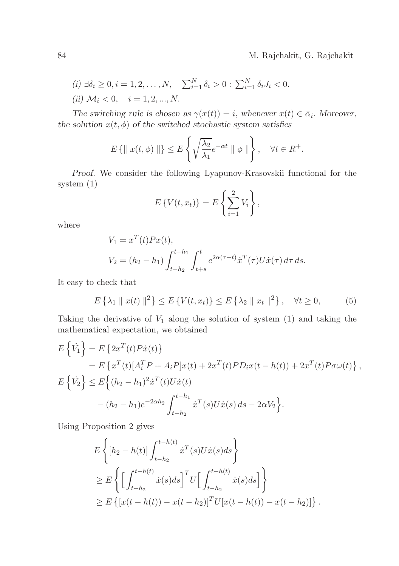$$
(i) \ \exists \delta_i \ge 0, i = 1, 2, \dots, N, \quad \sum_{i=1}^N \delta_i > 0 : \sum_{i=1}^N \delta_i J_i < 0.
$$

*(ii)*  $M_i < 0, \quad i = 1, 2, ..., N.$ 

*The switching rule is chosen as*  $\gamma(x(t)) = i$ , *whenever*  $x(t) \in \bar{\alpha}_i$ . *Moreover*, *the solution*  $x(t, \phi)$  *of the switched stochastic system satisfies* 

$$
E\{\parallel x(t,\phi)\parallel\}\leq E\left\{\sqrt{\frac{\lambda_2}{\lambda_1}}e^{-\alpha t}\parallel\phi\parallel\right\},\quad\forall t\in R^+.
$$

*Proof.* We consider the following Lyapunov-Krasovskii functional for the system (1)

$$
E\left\{V(t,x_t)\right\} = E\left\{\sum_{i=1}^2 V_i\right\},\
$$

where

$$
V_1 = x^T(t)Px(t),
$$
  
\n
$$
V_2 = (h_2 - h_1) \int_{t-h_2}^{t-h_1} \int_{t+s}^t e^{2\alpha(\tau - t)} \dot{x}^T(\tau) U \dot{x}(\tau) d\tau ds.
$$

It easy to check that

$$
E\left\{\lambda_1 \parallel x(t) \parallel^2\right\} \le E\left\{V(t, x_t)\right\} \le E\left\{\lambda_2 \parallel x_t \parallel^2\right\}, \quad \forall t \ge 0,
$$
 (5)

Taking the derivative of  $V_1$  along the solution of system (1) and taking the mathematical expectation, we obtained

$$
E\left\{\dot{V}_1\right\} = E\left\{2x^T(t)P\dot{x}(t)\right\}
$$
  
=  $E\left\{x^T(t)[A_i^TP + A_iP]x(t) + 2x^T(t)PD_ix(t - h(t)) + 2x^T(t)P\sigma\omega(t)\right\},$   

$$
E\left\{\dot{V}_2\right\} \le E\left\{(h_2 - h_1)^2\dot{x}^T(t)U\dot{x}(t) - (h_2 - h_1)e^{-2\alpha h_2}\int_{t - h_2}^{t - h_1} \dot{x}^T(s)U\dot{x}(s) ds - 2\alpha V_2\right\}.
$$

Using Proposition 2 gives

$$
E\left\{ [h_2 - h(t)] \int_{t-h_2}^{t-h(t)} \dot{x}^T(s) U \dot{x}(s) ds \right\}
$$
  
\n
$$
\geq E\left\{ \left[ \int_{t-h_2}^{t-h(t)} \dot{x}(s) ds \right]^T U \left[ \int_{t-h_2}^{t-h(t)} \dot{x}(s) ds \right] \right\}
$$
  
\n
$$
\geq E\left\{ [x(t-h(t)) - x(t-h_2)]^T U [x(t-h(t)) - x(t-h_2)] \right\}.
$$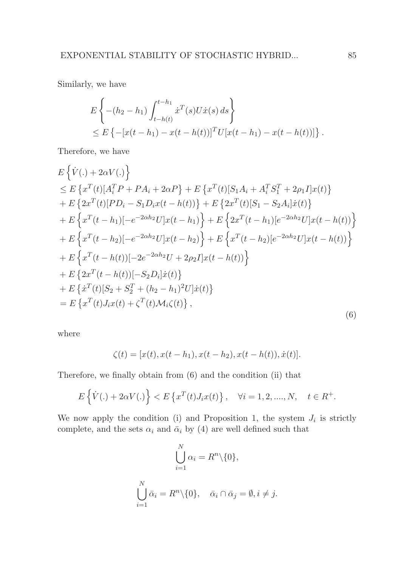Similarly, we have

$$
E\left\{-(h_2 - h_1) \int_{t-h(t)}^{t-h_1} \dot{x}^T(s)U\dot{x}(s) ds\right\}
$$
  
\n
$$
\leq E\left\{-[x(t-h_1) - x(t-h(t))]^T U[x(t-h_1) - x(t-h(t))] \right\}
$$

Therefore, we have

$$
E\{\dot{V}(.) + 2\alpha V(.)\}
$$
  
\n
$$
\leq E\{x^{T}(t)[A_{i}^{T}P + PA_{i} + 2\alpha P\} + E\{x^{T}(t)[S_{1}A_{i} + A_{i}^{T}S_{1}^{T} + 2\rho_{1}I]x(t)\}
$$
  
\n
$$
+ E\{2x^{T}(t)[PD_{i} - S_{1}D_{i}x(t-h(t))\} + E\{2x^{T}(t)[S_{1} - S_{2}A_{i}]\dot{x}(t)\}
$$
  
\n
$$
+ E\{x^{T}(t-h_{1})[-e^{-2\alpha h_{2}}U]x(t-h_{1})\} + E\{2x^{T}(t-h_{1})[e^{-2\alpha h_{2}}U]x(t-h(t))\}
$$
  
\n
$$
+ E\{x^{T}(t-h_{2})[-e^{-2\alpha h_{2}}U]x(t-h_{2})\} + E\{x^{T}(t-h_{2})[e^{-2\alpha h_{2}}U]x(t-h(t))\}
$$
  
\n
$$
+ E\{x^{T}(t-h(t))[-2e^{-2\alpha h_{2}}U + 2\rho_{2}I]x(t-h(t))\}
$$
  
\n
$$
+ E\{2x^{T}(t-h(t))[-S_{2}D_{i}]\dot{x}(t)\}
$$
  
\n
$$
+ E\{\dot{x}^{T}(t)[S_{2} + S_{2}^{T} + (h_{2} - h_{1})^{2}U]\dot{x}(t)\}
$$
  
\n
$$
= E\{x^{T}(t)J_{i}x(t) + \zeta^{T}(t)M_{i}\zeta(t)\}, \qquad (6)
$$

where

$$
\zeta(t) = [x(t), x(t - h_1), x(t - h_2), x(t - h(t)), \dot{x}(t)].
$$

Therefore, we finally obtain from (6) and the condition (ii) that

$$
E\left\{\dot{V}(.)+2\alpha V(.)\right\} < E\left\{x^{T}(t)J_{i}x(t)\right\}, \quad \forall i = 1, 2, ..., N, \quad t \in R^{+}.
$$

We now apply the condition (i) and Proposition 1, the system  $J_i$  is strictly complete, and the sets  $\alpha_i$  and  $\bar{\alpha}_i$  by (4) are well defined such that

$$
\bigcup_{i=1}^{N} \alpha_i = R^n \setminus \{0\},
$$
  

$$
\bigcup_{i=1}^{N} \bar{\alpha}_i = R^n \setminus \{0\}, \quad \bar{\alpha}_i \cap \bar{\alpha}_j = \emptyset, i \neq j.
$$

.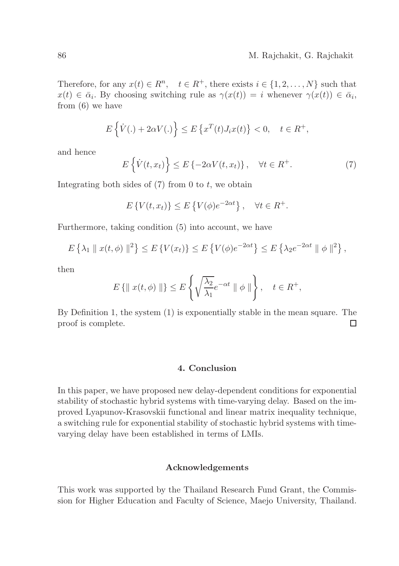Therefore, for any  $x(t) \in R^n$ ,  $t \in R^+$ , there exists  $i \in \{1, 2, ..., N\}$  such that  $x(t) \in \bar{\alpha}_i$ . By choosing switching rule as  $\gamma(x(t)) = i$  whenever  $\gamma(x(t)) \in \bar{\alpha}_i$ , from (6) we have

$$
E\left\{\dot{V}(.)+2\alpha V(.)\right\} \le E\left\{x^T(t)J_ix(t)\right\} < 0, \quad t \in R^+,
$$

and hence

$$
E\left\{\dot{V}(t,x_t)\right\} \le E\left\{-2\alpha V(t,x_t)\right\}, \quad \forall t \in R^+.
$$
 (7)

Integrating both sides of  $(7)$  from 0 to t, we obtain

$$
E\left\{V(t, x_t)\right\} \le E\left\{V(\phi)e^{-2\alpha t}\right\}, \quad \forall t \in R^+.
$$

Furthermore, taking condition (5) into account, we have

$$
E\left\{\lambda_1 \parallel x(t,\phi) \parallel^2\right\} \le E\left\{V(x_t)\right\} \le E\left\{V(\phi)e^{-2\alpha t}\right\} \le E\left\{\lambda_2 e^{-2\alpha t} \parallel \phi \parallel^2\right\},\
$$

then

$$
E\{\parallel x(t,\phi)\parallel\}\leq E\left\{\sqrt{\frac{\lambda_2}{\lambda_1}}e^{-\alpha t}\parallel\phi\parallel\right\},\quad t\in R^+,
$$

By Definition 1, the system (1) is exponentially stable in the mean square. The proof is complete. □

#### 4. Conclusion

In this paper, we have proposed new delay-dependent conditions for exponential stability of stochastic hybrid systems with time-varying delay. Based on the improved Lyapunov-Krasovskii functional and linear matrix inequality technique, a switching rule for exponential stability of stochastic hybrid systems with timevarying delay have been established in terms of LMIs.

#### Acknowledgements

This work was supported by the Thailand Research Fund Grant, the Commission for Higher Education and Faculty of Science, Maejo University, Thailand.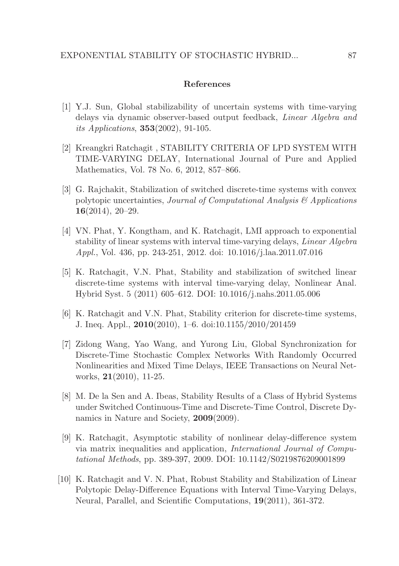## References

- [1] Y.J. Sun, Global stabilizability of uncertain systems with time-varying delays via dynamic observer-based output feedback, Linear Algebra and its Applications, 353(2002), 91-105.
- [2] Kreangkri Ratchagit , STABILITY CRITERIA OF LPD SYSTEM WITH TIME-VARYING DELAY, International Journal of Pure and Applied Mathematics, Vol. 78 No. 6, 2012, 857–866.
- [3] G. Rajchakit, Stabilization of switched discrete-time systems with convex polytopic uncertainties, Journal of Computational Analysis & Applications 16(2014), 20–29.
- [4] VN. Phat, Y. Kongtham, and K. Ratchagit, LMI approach to exponential stability of linear systems with interval time-varying delays, Linear Algebra Appl., Vol. 436, pp. 243-251, 2012. doi: 10.1016/j.laa.2011.07.016
- [5] K. Ratchagit, V.N. Phat, Stability and stabilization of switched linear discrete-time systems with interval time-varying delay, Nonlinear Anal. Hybrid Syst. 5 (2011) 605–612. DOI: 10.1016/j.nahs.2011.05.006
- [6] K. Ratchagit and V.N. Phat, Stability criterion for discrete-time systems, J. Ineq. Appl., 2010(2010), 1–6. doi:10.1155/2010/201459
- [7] Zidong Wang, Yao Wang, and Yurong Liu, Global Synchronization for Discrete-Time Stochastic Complex Networks With Randomly Occurred Nonlinearities and Mixed Time Delays, IEEE Transactions on Neural Networks, 21(2010), 11-25.
- [8] M. De la Sen and A. Ibeas, Stability Results of a Class of Hybrid Systems under Switched Continuous-Time and Discrete-Time Control, Discrete Dynamics in Nature and Society, 2009(2009).
- [9] K. Ratchagit, Asymptotic stability of nonlinear delay-difference system via matrix inequalities and application, International Journal of Computational Methods, pp. 389-397, 2009. DOI: 10.1142/S0219876209001899
- [10] K. Ratchagit and V. N. Phat, Robust Stability and Stabilization of Linear Polytopic Delay-Difference Equations with Interval Time-Varying Delays, Neural, Parallel, and Scientific Computations, 19(2011), 361-372.